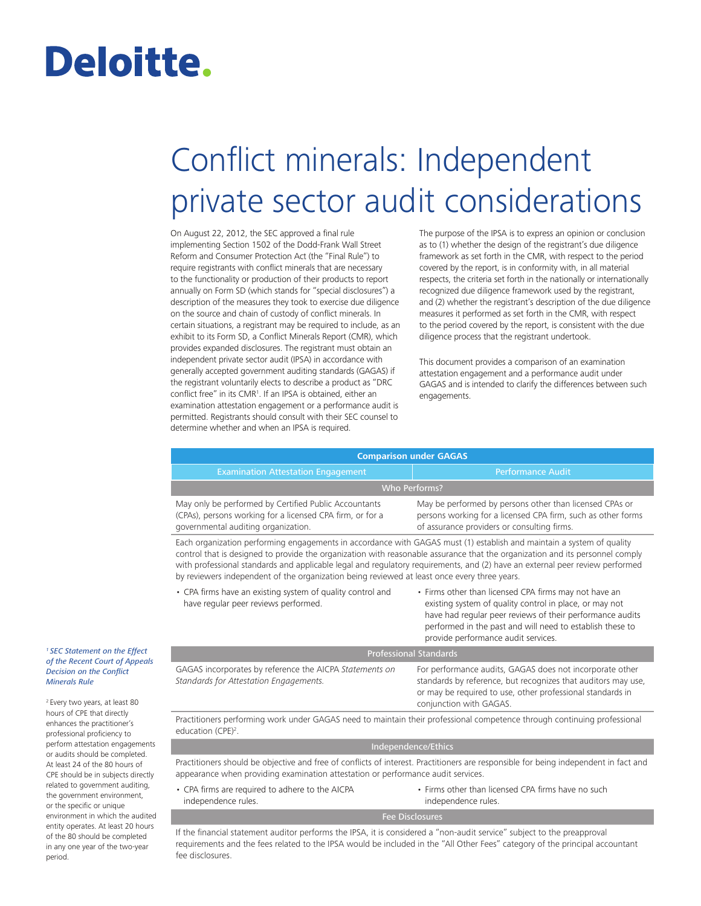# Deloitte.

## Conflict minerals: Independent private sector audit considerations

On August 22, 2012, the SEC approved a final rule implementing Section 1502 of the Dodd-Frank Wall Street Reform and Consumer Protection Act (the "Final Rule") to require registrants with conflict minerals that are necessary to the functionality or production of their products to report annually on Form SD (which stands for "special disclosures") a description of the measures they took to exercise due diligence on the source and chain of custody of conflict minerals. In certain situations, a registrant may be required to include, as an exhibit to its Form SD, a Conflict Minerals Report (CMR), which provides expanded disclosures. The registrant must obtain an independent private sector audit (IPSA) in accordance with generally accepted government auditing standards (GAGAS) if the registrant voluntarily elects to describe a product as "DRC conflict free" in its CMR[1](#page-0-0) . If an IPSA is obtained, either an examination attestation engagement or a performance audit is permitted. Registrants should consult with their SEC counsel to determine whether and when an IPSA is required.

The purpose of the IPSA is to express an opinion or conclusion as to (1) whether the design of the registrant's due diligence framework as set forth in the CMR, with respect to the period covered by the report, is in conformity with, in all material respects, the criteria set forth in the nationally or internationally recognized due diligence framework used by the registrant, and (2) whether the registrant's description of the due diligence measures it performed as set forth in the CMR, with respect to the period covered by the report, is consistent with the due diligence process that the registrant undertook.

This document provides a comparison of an examination attestation engagement and a performance audit under GAGAS and is intended to clarify the differences between such engagements.

| <b>Comparison under GAGAS</b>                                                                                                                             |                                                                                                                                                                        |  |
|-----------------------------------------------------------------------------------------------------------------------------------------------------------|------------------------------------------------------------------------------------------------------------------------------------------------------------------------|--|
| <b>Examination Attestation Engagement</b>                                                                                                                 | <b>Performance Audit</b>                                                                                                                                               |  |
| <b>Who Performs?</b>                                                                                                                                      |                                                                                                                                                                        |  |
| May only be performed by Certified Public Accountants<br>(CPAs), persons working for a licensed CPA firm, or for a<br>governmental auditing organization. | May be performed by persons other than licensed CPAs or<br>persons working for a licensed CPA firm, such as other forms<br>of assurance providers or consulting firms. |  |
| Each organization performing engagements in accordance with GAGAS must (1) establish and maintain a system of quality                                     |                                                                                                                                                                        |  |

Each organization performing engagements in accordance with GAGAS must (1) establish and maintain a system of quality control that is designed to provide the organization with reasonable assurance that the organization and its personnel comply with professional standards and applicable legal and regulatory requirements, and (2) have an external peer review performed by reviewers independent of the organization being reviewed at least once every three years.

- CPA firms have an existing system of quality control and have regular peer reviews performed.
- Firms other than licensed CPA firms may not have an existing system of quality control in place, or may not have had regular peer reviews of their performance audits performed in the past and will need to establish these to provide performance audit services.

| <b>Professional Standards</b>                                                                     |                                                                                                                                                                                                                    |
|---------------------------------------------------------------------------------------------------|--------------------------------------------------------------------------------------------------------------------------------------------------------------------------------------------------------------------|
| GAGAS incorporates by reference the AICPA Statements on<br>Standards for Attestation Engagements. | For performance audits, GAGAS does not incorporate other<br>standards by reference, but recognizes that auditors may use,<br>or may be required to use, other professional standards in<br>conjunction with GAGAS. |

Practitioners performing work under GAGAS need to maintain their professional competence through continuing professional education (CPE)<sup>2</sup>.

#### Independence/Ethics

Practitioners should be objective and free of conflicts of interest. Practitioners are responsible for being independent in fact and appearance when providing examination attestation or performance audit services.

• CPA firms are required to adhere to the AICPA independence rules. • Firms other than licensed CPA firms have no such independence rules.

If the financial statement auditor performs the IPSA, it is considered a "non-audit service" subject to the preapproval requirements and the fees related to the IPSA would be included in the "All Other Fees" category of the principal accountant fee disclosures.

<span id="page-0-0"></span>*[1 SEC Statement on the Effect](http://www.sec.gov/News/PublicStmt/Detail/PublicStmt/1370541681994)  [of the Recent Court of Appeals](http://www.sec.gov/News/PublicStmt/Detail/PublicStmt/1370541681994)  [Decision on the Conflict](http://www.sec.gov/News/PublicStmt/Detail/PublicStmt/1370541681994)  [Minerals Rule](http://www.sec.gov/News/PublicStmt/Detail/PublicStmt/1370541681994)* 

<span id="page-0-1"></span><sup>2</sup> Every two years, at least 80 hours of CPE that directly enhances the practitioner's professional proficiency to perform attestation engagements or audits should be completed. At least 24 of the 80 hours of CPE should be in subjects directly related to government auditing, the government environment, or the specific or unique environment in which the audited entity operates. At least 20 hours of the 80 should be completed in any one year of the two-year period.